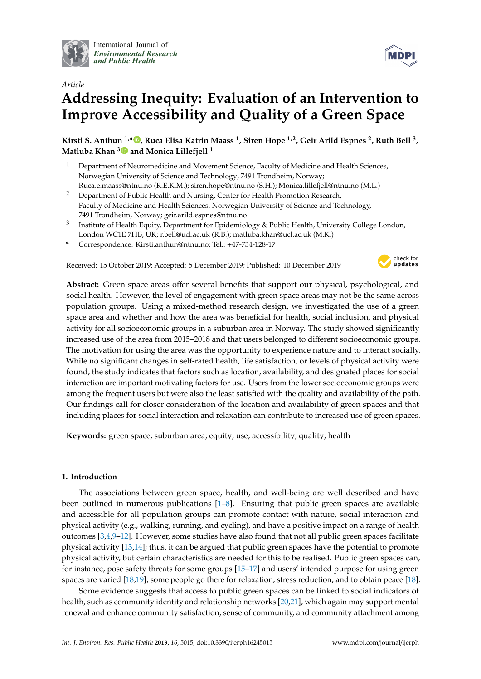

International Journal of *[Environmental Research](http://www.mdpi.com/journal/ijerph) and Public Health*



# *Article* **Addressing Inequity: Evaluation of an Intervention to Improve Accessibility and Quality of a Green Space**

**Kirsti S. Anthun 1,[\\*](https://orcid.org/0000-0002-5884-5351) , Ruca Elisa Katrin Maass <sup>1</sup> , Siren Hope 1,2, Geir Arild Espnes <sup>2</sup> , Ruth Bell <sup>3</sup> , Matluba Khan [3](https://orcid.org/0000-0002-5546-1870) and Monica Lillefjell <sup>1</sup>**

- <sup>1</sup> Department of Neuromedicine and Movement Science, Faculty of Medicine and Health Sciences, Norwegian University of Science and Technology, 7491 Trondheim, Norway; Ruca.e.maass@ntnu.no (R.E.K.M.); siren.hope@ntnu.no (S.H.); Monica.lillefjell@ntnu.no (M.L.)
- <sup>2</sup> Department of Public Health and Nursing, Center for Health Promotion Research, Faculty of Medicine and Health Sciences, Norwegian University of Science and Technology, 7491 Trondheim, Norway; geir.arild.espnes@ntnu.no
- $^3$  Institute of Health Equity, Department for Epidemiology & Public Health, University College London, London WC1E 7HB, UK; r.bell@ucl.ac.uk (R.B.); matluba.khan@ucl.ac.uk (M.K.)
- **\*** Correspondence: Kirsti.anthun@ntnu.no; Tel.: +47-734-128-17

Received: 15 October 2019; Accepted: 5 December 2019; Published: 10 December 2019



**Abstract:** Green space areas offer several benefits that support our physical, psychological, and social health. However, the level of engagement with green space areas may not be the same across population groups. Using a mixed-method research design, we investigated the use of a green space area and whether and how the area was beneficial for health, social inclusion, and physical activity for all socioeconomic groups in a suburban area in Norway. The study showed significantly increased use of the area from 2015–2018 and that users belonged to different socioeconomic groups. The motivation for using the area was the opportunity to experience nature and to interact socially. While no significant changes in self-rated health, life satisfaction, or levels of physical activity were found, the study indicates that factors such as location, availability, and designated places for social interaction are important motivating factors for use. Users from the lower socioeconomic groups were among the frequent users but were also the least satisfied with the quality and availability of the path. Our findings call for closer consideration of the location and availability of green spaces and that including places for social interaction and relaxation can contribute to increased use of green spaces.

**Keywords:** green space; suburban area; equity; use; accessibility; quality; health

# **1. Introduction**

The associations between green space, health, and well-being are well described and have been outlined in numerous publications [\[1](#page-11-0)[–8\]](#page-11-1). Ensuring that public green spaces are available and accessible for all population groups can promote contact with nature, social interaction and physical activity (e.g., walking, running, and cycling), and have a positive impact on a range of health outcomes  $[3,4,9-12]$  $[3,4,9-12]$  $[3,4,9-12]$  $[3,4,9-12]$ . However, some studies have also found that not all public green spaces facilitate physical activity [\[13](#page-12-2)[,14\]](#page-12-3); thus, it can be argued that public green spaces have the potential to promote physical activity, but certain characteristics are needed for this to be realised. Public green spaces can, for instance, pose safety threats for some groups [\[15](#page-12-4)[–17\]](#page-12-5) and users' intended purpose for using green spaces are varied [\[18,](#page-12-6)[19\]](#page-12-7); some people go there for relaxation, stress reduction, and to obtain peace [\[18\]](#page-12-6).

Some evidence suggests that access to public green spaces can be linked to social indicators of health, such as community identity and relationship networks [\[20](#page-12-8)[,21\]](#page-12-9), which again may support mental renewal and enhance community satisfaction, sense of community, and community attachment among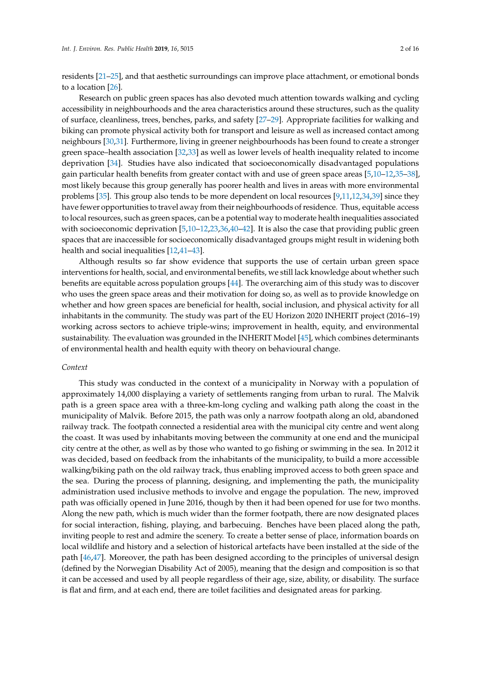residents [\[21–](#page-12-9)[25\]](#page-12-10), and that aesthetic surroundings can improve place attachment, or emotional bonds to a location [\[26\]](#page-12-11).

Research on public green spaces has also devoted much attention towards walking and cycling accessibility in neighbourhoods and the area characteristics around these structures, such as the quality of surface, cleanliness, trees, benches, parks, and safety [\[27](#page-12-12)[–29\]](#page-13-0). Appropriate facilities for walking and biking can promote physical activity both for transport and leisure as well as increased contact among neighbours [\[30](#page-13-1)[,31\]](#page-13-2). Furthermore, living in greener neighbourhoods has been found to create a stronger green space–health association [\[32,](#page-13-3)[33\]](#page-13-4) as well as lower levels of health inequality related to income deprivation [\[34\]](#page-13-5). Studies have also indicated that socioeconomically disadvantaged populations gain particular health benefits from greater contact with and use of green space areas [\[5](#page-11-4)[,10–](#page-12-13)[12](#page-12-1)[,35](#page-13-6)[–38\]](#page-13-7), most likely because this group generally has poorer health and lives in areas with more environmental problems [\[35\]](#page-13-6). This group also tends to be more dependent on local resources [\[9](#page-12-0)[,11,](#page-12-14)[12,](#page-12-1)[34](#page-13-5)[,39\]](#page-13-8) since they have fewer opportunities to travel away from their neighbourhoods of residence. Thus, equitable access to local resources, such as green spaces, can be a potential way to moderate health inequalities associated with socioeconomic deprivation [\[5,](#page-11-4)10-[12,](#page-12-1)[23,](#page-12-15)[36,](#page-13-9)[40](#page-13-10)-42]. It is also the case that providing public green spaces that are inaccessible for socioeconomically disadvantaged groups might result in widening both health and social inequalities [\[12](#page-12-1)[,41](#page-13-12)[–43\]](#page-13-13).

Although results so far show evidence that supports the use of certain urban green space interventions for health, social, and environmental benefits, we still lack knowledge about whether such benefits are equitable across population groups [\[44\]](#page-13-14). The overarching aim of this study was to discover who uses the green space areas and their motivation for doing so, as well as to provide knowledge on whether and how green spaces are beneficial for health, social inclusion, and physical activity for all inhabitants in the community. The study was part of the EU Horizon 2020 INHERIT project (2016–19) working across sectors to achieve triple-wins; improvement in health, equity, and environmental sustainability. The evaluation was grounded in the INHERIT Model [\[45\]](#page-13-15), which combines determinants of environmental health and health equity with theory on behavioural change.

# *Context*

This study was conducted in the context of a municipality in Norway with a population of approximately 14,000 displaying a variety of settlements ranging from urban to rural. The Malvik path is a green space area with a three-km-long cycling and walking path along the coast in the municipality of Malvik. Before 2015, the path was only a narrow footpath along an old, abandoned railway track. The footpath connected a residential area with the municipal city centre and went along the coast. It was used by inhabitants moving between the community at one end and the municipal city centre at the other, as well as by those who wanted to go fishing or swimming in the sea. In 2012 it was decided, based on feedback from the inhabitants of the municipality, to build a more accessible walking/biking path on the old railway track, thus enabling improved access to both green space and the sea. During the process of planning, designing, and implementing the path, the municipality administration used inclusive methods to involve and engage the population. The new, improved path was officially opened in June 2016, though by then it had been opened for use for two months. Along the new path, which is much wider than the former footpath, there are now designated places for social interaction, fishing, playing, and barbecuing. Benches have been placed along the path, inviting people to rest and admire the scenery. To create a better sense of place, information boards on local wildlife and history and a selection of historical artefacts have been installed at the side of the path [\[46,](#page-13-16)[47\]](#page-13-17). Moreover, the path has been designed according to the principles of universal design (defined by the Norwegian Disability Act of 2005), meaning that the design and composition is so that it can be accessed and used by all people regardless of their age, size, ability, or disability. The surface is flat and firm, and at each end, there are toilet facilities and designated areas for parking.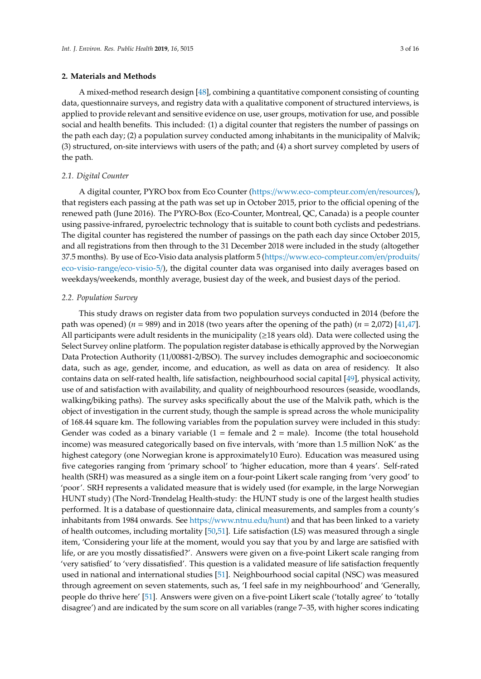# **2. Materials and Methods**

A mixed-method research design [\[48\]](#page-13-18), combining a quantitative component consisting of counting data, questionnaire surveys, and registry data with a qualitative component of structured interviews, is applied to provide relevant and sensitive evidence on use, user groups, motivation for use, and possible social and health benefits. This included: (1) a digital counter that registers the number of passings on the path each day; (2) a population survey conducted among inhabitants in the municipality of Malvik; (3) structured, on-site interviews with users of the path; and (4) a short survey completed by users of the path.

## *2.1. Digital Counter*

A digital counter, PYRO box from Eco Counter (https://[www.eco-compteur.com](https://www.eco-compteur.com/en/resources/)/en/resources/), that registers each passing at the path was set up in October 2015, prior to the official opening of the renewed path (June 2016). The PYRO-Box (Eco-Counter, Montreal, QC, Canada) is a people counter using passive-infrared, pyroelectric technology that is suitable to count both cyclists and pedestrians. The digital counter has registered the number of passings on the path each day since October 2015, and all registrations from then through to the 31 December 2018 were included in the study (altogether 37.5 months). By use of Eco-Visio data analysis platform 5 (https://[www.eco-compteur.com](https://www.eco-compteur.com/en/produits/eco-visio-range/eco-visio-5/)/en/produits/ [eco-visio-range](https://www.eco-compteur.com/en/produits/eco-visio-range/eco-visio-5/)/eco-visio-5/), the digital counter data was organised into daily averages based on weekdays/weekends, monthly average, busiest day of the week, and busiest days of the period.

## *2.2. Population Survey*

This study draws on register data from two population surveys conducted in 2014 (before the path was opened) ( $n = 989$ ) and in 2018 (two years after the opening of the path) ( $n = 2,072$ ) [\[41,](#page-13-12)[47\]](#page-13-17). All participants were adult residents in the municipality (≥18 years old). Data were collected using the Select Survey online platform. The population register database is ethically approved by the Norwegian Data Protection Authority (11/00881-2/BSO). The survey includes demographic and socioeconomic data, such as age, gender, income, and education, as well as data on area of residency. It also contains data on self-rated health, life satisfaction, neighbourhood social capital [\[49\]](#page-14-0), physical activity, use of and satisfaction with availability, and quality of neighbourhood resources (seaside, woodlands, walking/biking paths). The survey asks specifically about the use of the Malvik path, which is the object of investigation in the current study, though the sample is spread across the whole municipality of 168.44 square km. The following variables from the population survey were included in this study: Gender was coded as a binary variable  $(1 = \text{female}$  and  $2 = \text{male})$ . Income (the total household income) was measured categorically based on five intervals, with 'more than 1.5 million NoK' as the highest category (one Norwegian krone is approximately10 Euro). Education was measured using five categories ranging from 'primary school' to 'higher education, more than 4 years'. Self-rated health (SRH) was measured as a single item on a four-point Likert scale ranging from 'very good' to 'poor'. SRH represents a validated measure that is widely used (for example, in the large Norwegian HUNT study) (The Nord-Trøndelag Health-study: the HUNT study is one of the largest health studies performed. It is a database of questionnaire data, clinical measurements, and samples from a county's inhabitants from 1984 onwards. See https://[www.ntnu.edu](https://www.ntnu.edu/hunt)/hunt) and that has been linked to a variety of health outcomes, including mortality [\[50](#page-14-1)[,51\]](#page-14-2). Life satisfaction (LS) was measured through a single item, 'Considering your life at the moment, would you say that you by and large are satisfied with life, or are you mostly dissatisfied?'. Answers were given on a five-point Likert scale ranging from 'very satisfied' to 'very dissatisfied'. This question is a validated measure of life satisfaction frequently used in national and international studies [\[51\]](#page-14-2). Neighbourhood social capital (NSC) was measured through agreement on seven statements, such as, 'I feel safe in my neighbourhood' and 'Generally, people do thrive here' [\[51\]](#page-14-2). Answers were given on a five-point Likert scale ('totally agree' to 'totally disagree') and are indicated by the sum score on all variables (range 7–35, with higher scores indicating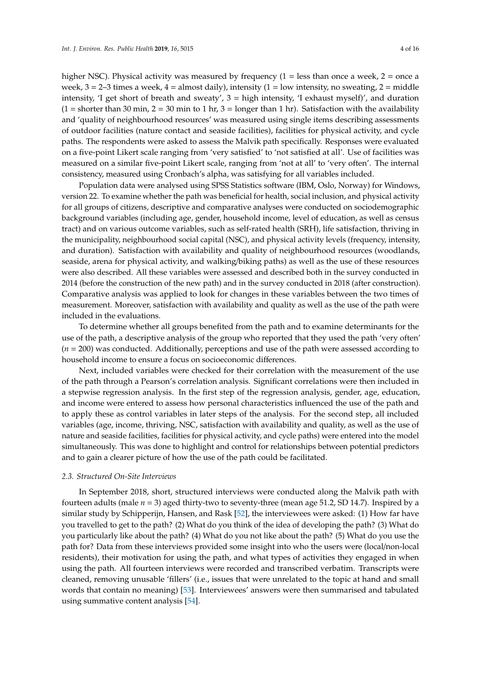higher NSC). Physical activity was measured by frequency  $(1 = \text{less than once a week}, 2 = \text{once a}$ week,  $3 = 2-3$  times a week,  $4 =$  almost daily), intensity  $(1 =$  low intensity, no sweating,  $2 =$  middle intensity, 'I get short of breath and sweaty',  $3 =$  high intensity, 'I exhaust myself)', and duration  $(1 =$  shorter than 30 min,  $2 = 30$  min to 1 hr,  $3 =$  longer than 1 hr). Satisfaction with the availability and 'quality of neighbourhood resources' was measured using single items describing assessments of outdoor facilities (nature contact and seaside facilities), facilities for physical activity, and cycle paths. The respondents were asked to assess the Malvik path specifically. Responses were evaluated on a five-point Likert scale ranging from 'very satisfied' to 'not satisfied at all'. Use of facilities was measured on a similar five-point Likert scale, ranging from 'not at all' to 'very often'. The internal consistency, measured using Cronbach's alpha, was satisfying for all variables included.

Population data were analysed using SPSS Statistics software (IBM, Oslo, Norway) for Windows, version 22. To examine whether the path was beneficial for health, social inclusion, and physical activity for all groups of citizens, descriptive and comparative analyses were conducted on sociodemographic background variables (including age, gender, household income, level of education, as well as census tract) and on various outcome variables, such as self-rated health (SRH), life satisfaction, thriving in the municipality, neighbourhood social capital (NSC), and physical activity levels (frequency, intensity, and duration). Satisfaction with availability and quality of neighbourhood resources (woodlands, seaside, arena for physical activity, and walking/biking paths) as well as the use of these resources were also described. All these variables were assessed and described both in the survey conducted in 2014 (before the construction of the new path) and in the survey conducted in 2018 (after construction). Comparative analysis was applied to look for changes in these variables between the two times of measurement. Moreover, satisfaction with availability and quality as well as the use of the path were included in the evaluations.

To determine whether all groups benefited from the path and to examine determinants for the use of the path, a descriptive analysis of the group who reported that they used the path 'very often' (*n* = 200) was conducted. Additionally, perceptions and use of the path were assessed according to household income to ensure a focus on socioeconomic differences.

Next, included variables were checked for their correlation with the measurement of the use of the path through a Pearson's correlation analysis. Significant correlations were then included in a stepwise regression analysis. In the first step of the regression analysis, gender, age, education, and income were entered to assess how personal characteristics influenced the use of the path and to apply these as control variables in later steps of the analysis. For the second step, all included variables (age, income, thriving, NSC, satisfaction with availability and quality, as well as the use of nature and seaside facilities, facilities for physical activity, and cycle paths) were entered into the model simultaneously. This was done to highlight and control for relationships between potential predictors and to gain a clearer picture of how the use of the path could be facilitated.

#### *2.3. Structured On-Site Interviews*

In September 2018, short, structured interviews were conducted along the Malvik path with fourteen adults (male *n* = 3) aged thirty-two to seventy-three (mean age 51.2, SD 14.7). Inspired by a similar study by Schipperijn, Hansen, and Rask [\[52\]](#page-14-3), the interviewees were asked: (1) How far have you travelled to get to the path? (2) What do you think of the idea of developing the path? (3) What do you particularly like about the path? (4) What do you not like about the path? (5) What do you use the path for? Data from these interviews provided some insight into who the users were (local/non-local residents), their motivation for using the path, and what types of activities they engaged in when using the path. All fourteen interviews were recorded and transcribed verbatim. Transcripts were cleaned, removing unusable 'fillers' (i.e., issues that were unrelated to the topic at hand and small words that contain no meaning) [\[53\]](#page-14-4). Interviewees' answers were then summarised and tabulated using summative content analysis [\[54\]](#page-14-5).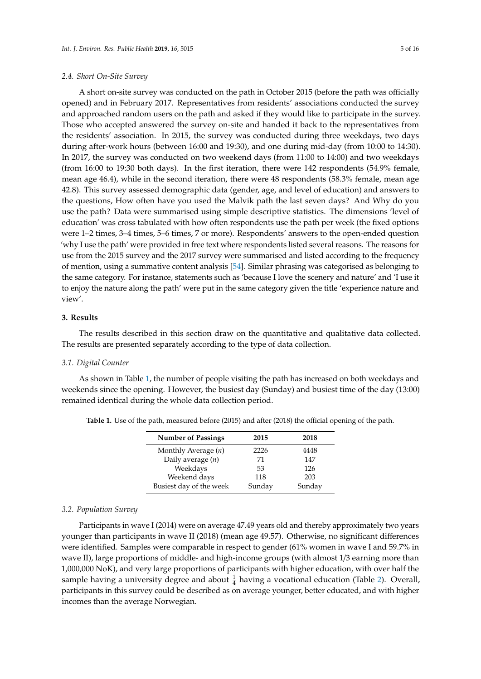# *2.4. Short On-Site Survey*

A short on-site survey was conducted on the path in October 2015 (before the path was officially opened) and in February 2017. Representatives from residents' associations conducted the survey and approached random users on the path and asked if they would like to participate in the survey. Those who accepted answered the survey on-site and handed it back to the representatives from the residents' association. In 2015, the survey was conducted during three weekdays, two days during after-work hours (between 16:00 and 19:30), and one during mid-day (from 10:00 to 14:30). In 2017, the survey was conducted on two weekend days (from 11:00 to 14:00) and two weekdays (from 16:00 to 19:30 both days). In the first iteration, there were 142 respondents (54.9% female, mean age 46.4), while in the second iteration, there were 48 respondents (58.3% female, mean age 42.8). This survey assessed demographic data (gender, age, and level of education) and answers to the questions, How often have you used the Malvik path the last seven days? And Why do you use the path? Data were summarised using simple descriptive statistics. The dimensions 'level of education' was cross tabulated with how often respondents use the path per week (the fixed options were 1–2 times, 3–4 times, 5–6 times, 7 or more). Respondents' answers to the open-ended question 'why I use the path' were provided in free text where respondents listed several reasons. The reasons for use from the 2015 survey and the 2017 survey were summarised and listed according to the frequency of mention, using a summative content analysis [\[54\]](#page-14-5). Similar phrasing was categorised as belonging to the same category. For instance, statements such as 'because I love the scenery and nature' and 'I use it to enjoy the nature along the path' were put in the same category given the title 'experience nature and view'.

# **3. Results**

The results described in this section draw on the quantitative and qualitative data collected. The results are presented separately according to the type of data collection.

#### *3.1. Digital Counter*

As shown in Table [1,](#page-4-0) the number of people visiting the path has increased on both weekdays and weekends since the opening. However, the busiest day (Sunday) and busiest time of the day (13:00) remained identical during the whole data collection period.

| <b>Number of Passings</b> | 2015   | 2018   |
|---------------------------|--------|--------|
| Monthly Average $(n)$     | 2226   | 4448   |
| Daily average $(n)$       | 71     | 147    |
| Weekdays                  | 53     | 126    |
| Weekend days              | 118    | 203    |
| Busiest day of the week   | Sunday | Sunday |

<span id="page-4-0"></span>**Table 1.** Use of the path, measured before (2015) and after (2018) the official opening of the path.

#### *3.2. Population Survey*

Participants in wave I (2014) were on average 47.49 years old and thereby approximately two years younger than participants in wave II (2018) (mean age 49.57). Otherwise, no significant differences were identified. Samples were comparable in respect to gender (61% women in wave I and 59.7% in wave II), large proportions of middle- and high-income groups (with almost 1/3 earning more than 1,000,000 NoK), and very large proportions of participants with higher education, with over half the sample having a university degree and about  $\frac{1}{4}$  having a vocational education (Table [2\)](#page-5-0). Overall, participants in this survey could be described as on average younger, better educated, and with higher incomes than the average Norwegian.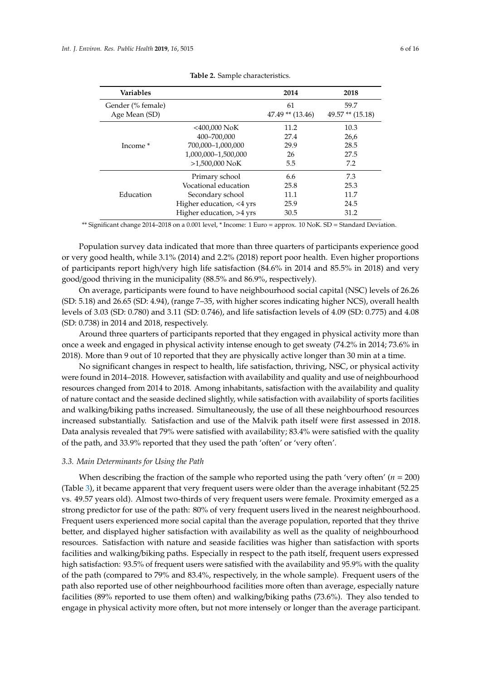<span id="page-5-0"></span>

| <b>Variables</b>                   |                          | 2014                       | 2018                      |
|------------------------------------|--------------------------|----------------------------|---------------------------|
| Gender (% female)<br>Age Mean (SD) |                          | 61<br>$47.49$ ** $(13.46)$ | 59.7<br>49.57** $(15.18)$ |
| Income <sup>*</sup>                | $<$ 400,000 NoK          | 11.2                       | 10.3                      |
|                                    | 400-700.000              | 27.4                       | 26,6                      |
|                                    | 700,000-1,000,000        | 29.9                       | 28.5                      |
|                                    | 1,000,000-1,500,000      | 26                         | 27.5                      |
|                                    | $>1.500.000$ NoK         | 5.5                        | 7.2                       |
|                                    | Primary school           | 6.6                        | 7.3                       |
| Education                          | Vocational education     | 25.8                       | 25.3                      |
|                                    | Secondary school         | 11.1                       | 11.7                      |
|                                    | Higher education, <4 yrs | 25.9                       | 24.5                      |
|                                    | Higher education, >4 yrs | 30.5                       | 31.2                      |

|  | Table 2. Sample characteristics. |  |
|--|----------------------------------|--|
|  |                                  |  |

\*\* Significant change 2014–2018 on a 0.001 level, \* Income: 1 Euro = approx. 10 NoK. SD = Standard Deviation.

Population survey data indicated that more than three quarters of participants experience good or very good health, while 3.1% (2014) and 2.2% (2018) report poor health. Even higher proportions of participants report high/very high life satisfaction (84.6% in 2014 and 85.5% in 2018) and very good/good thriving in the municipality (88.5% and 86.9%, respectively).

On average, participants were found to have neighbourhood social capital (NSC) levels of 26.26 (SD: 5.18) and 26.65 (SD: 4.94), (range 7–35, with higher scores indicating higher NCS), overall health levels of 3.03 (SD: 0.780) and 3.11 (SD: 0.746), and life satisfaction levels of 4.09 (SD: 0.775) and 4.08 (SD: 0.738) in 2014 and 2018, respectively.

Around three quarters of participants reported that they engaged in physical activity more than once a week and engaged in physical activity intense enough to get sweaty (74.2% in 2014; 73.6% in 2018). More than 9 out of 10 reported that they are physically active longer than 30 min at a time.

No significant changes in respect to health, life satisfaction, thriving, NSC, or physical activity were found in 2014–2018. However, satisfaction with availability and quality and use of neighbourhood resources changed from 2014 to 2018. Among inhabitants, satisfaction with the availability and quality of nature contact and the seaside declined slightly, while satisfaction with availability of sports facilities and walking/biking paths increased. Simultaneously, the use of all these neighbourhood resources increased substantially. Satisfaction and use of the Malvik path itself were first assessed in 2018. Data analysis revealed that 79% were satisfied with availability; 83.4% were satisfied with the quality of the path, and 33.9% reported that they used the path 'often' or 'very often'.

#### *3.3. Main Determinants for Using the Path*

When describing the fraction of the sample who reported using the path 'very often' (*n* = 200) (Table [3\)](#page-6-0), it became apparent that very frequent users were older than the average inhabitant (52.25 vs. 49.57 years old). Almost two-thirds of very frequent users were female. Proximity emerged as a strong predictor for use of the path: 80% of very frequent users lived in the nearest neighbourhood. Frequent users experienced more social capital than the average population, reported that they thrive better, and displayed higher satisfaction with availability as well as the quality of neighbourhood resources. Satisfaction with nature and seaside facilities was higher than satisfaction with sports facilities and walking/biking paths. Especially in respect to the path itself, frequent users expressed high satisfaction: 93.5% of frequent users were satisfied with the availability and 95.9% with the quality of the path (compared to 79% and 83.4%, respectively, in the whole sample). Frequent users of the path also reported use of other neighbourhood facilities more often than average, especially nature facilities (89% reported to use them often) and walking/biking paths (73.6%). They also tended to engage in physical activity more often, but not more intensely or longer than the average participant.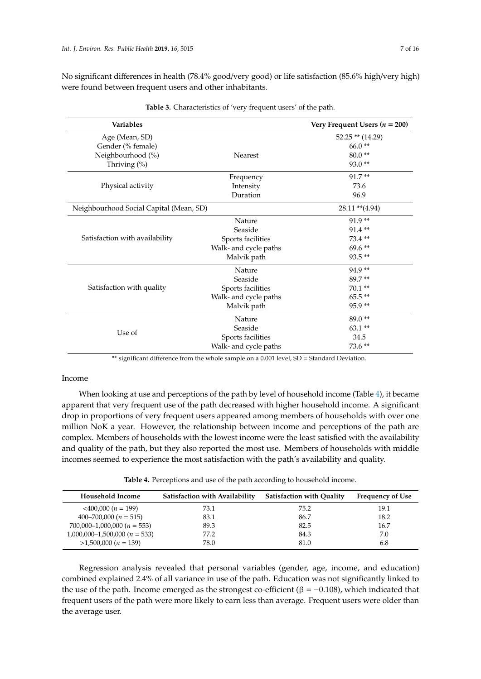No significant differences in health (78.4% good/very good) or life satisfaction (85.6% high/very high) were found between frequent users and other inhabitants.

<span id="page-6-0"></span>

| <b>Variables</b>                        |                       | Very Frequent Users ( $n = 200$ ) |
|-----------------------------------------|-----------------------|-----------------------------------|
| Age (Mean, SD)                          |                       | $52.25$ ** (14.29)                |
| Gender (% female)                       |                       | $66.0**$                          |
| Neighbourhood (%)                       | Nearest               | $80.0**$                          |
| Thriving (%)                            |                       | $93.0**$                          |
|                                         | Frequency             | $91.7**$                          |
| Physical activity                       | Intensity             | 73.6                              |
|                                         | Duration              | 96.9                              |
| Neighbourhood Social Capital (Mean, SD) |                       | $28.11$ ** $(4.94)$               |
|                                         | Nature                | 91.9**                            |
| Satisfaction with availability          | Seaside               | 91.4**                            |
|                                         | Sports facilities     | 73.4**                            |
|                                         | Walk- and cycle paths | 69.6**                            |
|                                         | Malvik path           | 93.5**                            |
|                                         | Nature                | 94.9**                            |
|                                         | Seaside               | 89.7**                            |
| Satisfaction with quality               | Sports facilities     | $70.1**$                          |
|                                         | Walk- and cycle paths | 65.5**                            |
|                                         | Malvik path           | $95.9**$                          |
| Use of                                  | Nature                | $89.0**$                          |
|                                         | Seaside               | $63.1**$                          |
|                                         | Sports facilities     | 34.5                              |
|                                         | Walk- and cycle paths | $73.6**$                          |

**Table 3.** Characteristics of 'very frequent users' of the path.

\*\* significant difference from the whole sample on a 0.001 level, SD = Standard Deviation.

# Income

When looking at use and perceptions of the path by level of household income (Table [4\)](#page-6-1), it became apparent that very frequent use of the path decreased with higher household income. A significant drop in proportions of very frequent users appeared among members of households with over one million NoK a year. However, the relationship between income and perceptions of the path are complex. Members of households with the lowest income were the least satisfied with the availability and quality of the path, but they also reported the most use. Members of households with middle incomes seemed to experience the most satisfaction with the path's availability and quality.

**Table 4.** Perceptions and use of the path according to household income.

<span id="page-6-1"></span>

| Household Income               | Satisfaction with Availability | <b>Satisfaction with Quality</b> | <b>Frequency of Use</b> |
|--------------------------------|--------------------------------|----------------------------------|-------------------------|
| $\leq 400,000(n = 199)$        | 73.1                           | 75.2                             | 19.1                    |
| $400 - 700,000 (n = 515)$      | 83.1                           | 86.7                             | 18.2                    |
| $700,000-1,000,000(n = 553)$   | 89.3                           | 82.5                             | 16.7                    |
| $1,000,000-1,500,000(n = 533)$ | 77.2                           | 84.3                             | 7.0                     |
| $>1,500,000(n = 139)$          | 78.0                           | 81.0                             | 6.8                     |

Regression analysis revealed that personal variables (gender, age, income, and education) combined explained 2.4% of all variance in use of the path. Education was not significantly linked to the use of the path. Income emerged as the strongest co-efficient ( $\beta = -0.108$ ), which indicated that frequent users of the path were more likely to earn less than average. Frequent users were older than the average user.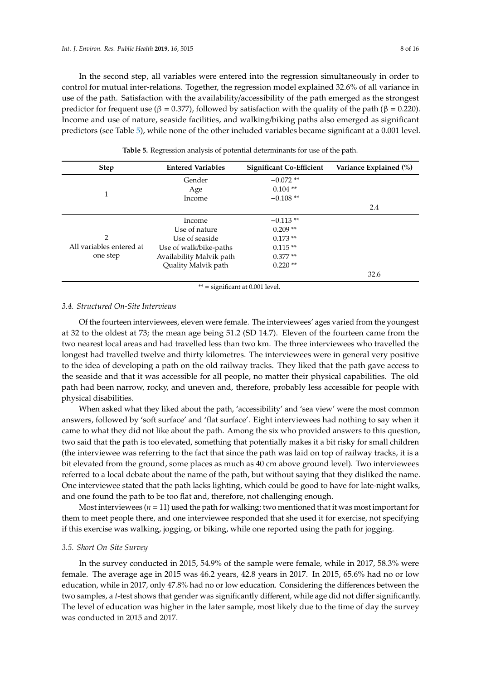In the second step, all variables were entered into the regression simultaneously in order to control for mutual inter-relations. Together, the regression model explained 32.6% of all variance in use of the path. Satisfaction with the availability/accessibility of the path emerged as the strongest predictor for frequent use (β = 0.377), followed by satisfaction with the quality of the path (β = 0.220). Income and use of nature, seaside facilities, and walking/biking paths also emerged as significant predictors (see Table [5\)](#page-7-0), while none of the other included variables became significant at a 0.001 level.

<span id="page-7-0"></span>

| <b>Step</b>              | <b>Entered Variables</b> | <b>Significant Co-Efficient</b> | Variance Explained (%) |
|--------------------------|--------------------------|---------------------------------|------------------------|
|                          | Gender                   | $-0.072**$                      |                        |
|                          | Age                      | $0.104$ **                      |                        |
| 1                        | Income                   | $-0.108**$                      |                        |
|                          |                          |                                 | 2.4                    |
|                          | Income                   | $-0.113**$                      |                        |
|                          | Use of nature            | $0.209**$                       |                        |
| $\mathcal{P}$            | Use of seaside           | $0.173**$                       |                        |
| All variables entered at | Use of walk/bike-paths   | $0.115**$                       |                        |
| one step                 | Availability Malvik path | $0.377**$                       |                        |
|                          | Quality Malvik path      | $0.220**$                       |                        |
|                          |                          |                                 | 32.6                   |

**Table 5.** Regression analysis of potential determinants for use of the path.

\*\* = significant at 0.001 level.

# *3.4. Structured On-Site Interviews*

Of the fourteen interviewees, eleven were female. The interviewees' ages varied from the youngest at 32 to the oldest at 73; the mean age being 51.2 (SD 14.7). Eleven of the fourteen came from the two nearest local areas and had travelled less than two km. The three interviewees who travelled the longest had travelled twelve and thirty kilometres. The interviewees were in general very positive to the idea of developing a path on the old railway tracks. They liked that the path gave access to the seaside and that it was accessible for all people, no matter their physical capabilities. The old path had been narrow, rocky, and uneven and, therefore, probably less accessible for people with physical disabilities.

When asked what they liked about the path, 'accessibility' and 'sea view' were the most common answers, followed by 'soft surface' and 'flat surface'. Eight interviewees had nothing to say when it came to what they did not like about the path. Among the six who provided answers to this question, two said that the path is too elevated, something that potentially makes it a bit risky for small children (the interviewee was referring to the fact that since the path was laid on top of railway tracks, it is a bit elevated from the ground, some places as much as 40 cm above ground level). Two interviewees referred to a local debate about the name of the path, but without saying that they disliked the name. One interviewee stated that the path lacks lighting, which could be good to have for late-night walks, and one found the path to be too flat and, therefore, not challenging enough.

Most interviewees  $(n = 11)$  used the path for walking; two mentioned that it was most important for them to meet people there, and one interviewee responded that she used it for exercise, not specifying if this exercise was walking, jogging, or biking, while one reported using the path for jogging.

#### *3.5. Short On-Site Survey*

In the survey conducted in 2015, 54.9% of the sample were female, while in 2017, 58.3% were female. The average age in 2015 was 46.2 years, 42.8 years in 2017. In 2015, 65.6% had no or low education, while in 2017, only 47.8% had no or low education. Considering the differences between the two samples, a *t*-test shows that gender was significantly different, while age did not differ significantly. The level of education was higher in the later sample, most likely due to the time of day the survey was conducted in 2015 and 2017.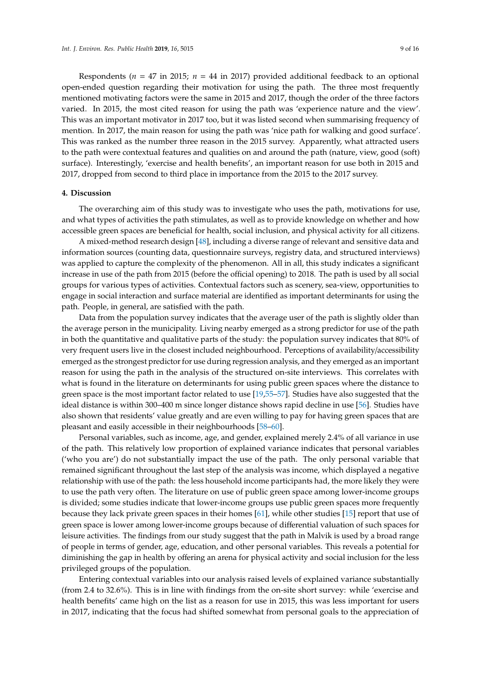Respondents ( $n = 47$  in 2015;  $n = 44$  in 2017) provided additional feedback to an optional open-ended question regarding their motivation for using the path. The three most frequently mentioned motivating factors were the same in 2015 and 2017, though the order of the three factors varied. In 2015, the most cited reason for using the path was 'experience nature and the view'. This was an important motivator in 2017 too, but it was listed second when summarising frequency of mention. In 2017, the main reason for using the path was 'nice path for walking and good surface'. This was ranked as the number three reason in the 2015 survey. Apparently, what attracted users to the path were contextual features and qualities on and around the path (nature, view, good (soft) surface). Interestingly, 'exercise and health benefits', an important reason for use both in 2015 and 2017, dropped from second to third place in importance from the 2015 to the 2017 survey.

# **4. Discussion**

The overarching aim of this study was to investigate who uses the path, motivations for use, and what types of activities the path stimulates, as well as to provide knowledge on whether and how accessible green spaces are beneficial for health, social inclusion, and physical activity for all citizens.

A mixed-method research design [\[48\]](#page-13-18), including a diverse range of relevant and sensitive data and information sources (counting data, questionnaire surveys, registry data, and structured interviews) was applied to capture the complexity of the phenomenon. All in all, this study indicates a significant increase in use of the path from 2015 (before the official opening) to 2018. The path is used by all social groups for various types of activities. Contextual factors such as scenery, sea-view, opportunities to engage in social interaction and surface material are identified as important determinants for using the path. People, in general, are satisfied with the path.

Data from the population survey indicates that the average user of the path is slightly older than the average person in the municipality. Living nearby emerged as a strong predictor for use of the path in both the quantitative and qualitative parts of the study: the population survey indicates that 80% of very frequent users live in the closest included neighbourhood. Perceptions of availability/accessibility emerged as the strongest predictor for use during regression analysis, and they emerged as an important reason for using the path in the analysis of the structured on-site interviews. This correlates with what is found in the literature on determinants for using public green spaces where the distance to green space is the most important factor related to use [\[19](#page-12-7)[,55](#page-14-6)[–57\]](#page-14-7). Studies have also suggested that the ideal distance is within 300–400 m since longer distance shows rapid decline in use [\[56\]](#page-14-8). Studies have also shown that residents' value greatly and are even willing to pay for having green spaces that are pleasant and easily accessible in their neighbourhoods [\[58](#page-14-9)[–60\]](#page-14-10).

Personal variables, such as income, age, and gender, explained merely 2.4% of all variance in use of the path. This relatively low proportion of explained variance indicates that personal variables ('who you are') do not substantially impact the use of the path. The only personal variable that remained significant throughout the last step of the analysis was income, which displayed a negative relationship with use of the path: the less household income participants had, the more likely they were to use the path very often. The literature on use of public green space among lower-income groups is divided; some studies indicate that lower-income groups use public green spaces more frequently because they lack private green spaces in their homes [\[61\]](#page-14-11), while other studies [\[15\]](#page-12-4) report that use of green space is lower among lower-income groups because of differential valuation of such spaces for leisure activities. The findings from our study suggest that the path in Malvik is used by a broad range of people in terms of gender, age, education, and other personal variables. This reveals a potential for diminishing the gap in health by offering an arena for physical activity and social inclusion for the less privileged groups of the population.

Entering contextual variables into our analysis raised levels of explained variance substantially (from 2.4 to 32.6%). This is in line with findings from the on-site short survey: while 'exercise and health benefits' came high on the list as a reason for use in 2015, this was less important for users in 2017, indicating that the focus had shifted somewhat from personal goals to the appreciation of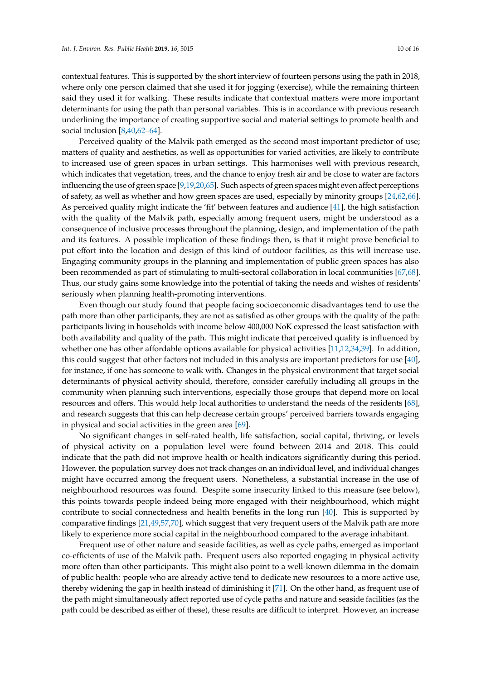contextual features. This is supported by the short interview of fourteen persons using the path in 2018, where only one person claimed that she used it for jogging (exercise), while the remaining thirteen said they used it for walking. These results indicate that contextual matters were more important determinants for using the path than personal variables. This is in accordance with previous research underlining the importance of creating supportive social and material settings to promote health and social inclusion [\[8,](#page-11-1)[40,](#page-13-10)[62–](#page-14-12)[64\]](#page-14-13).

Perceived quality of the Malvik path emerged as the second most important predictor of use; matters of quality and aesthetics, as well as opportunities for varied activities, are likely to contribute to increased use of green spaces in urban settings. This harmonises well with previous research, which indicates that vegetation, trees, and the chance to enjoy fresh air and be close to water are factors influencing the use of green space [\[9](#page-12-0)[,19,](#page-12-7)[20,](#page-12-8)[65\]](#page-14-14). Such aspects of green spaces might even affect perceptions of safety, as well as whether and how green spaces are used, especially by minority groups [\[24](#page-12-16)[,62,](#page-14-12)[66\]](#page-14-15). As perceived quality might indicate the 'fit' between features and audience [\[41\]](#page-13-12), the high satisfaction with the quality of the Malvik path, especially among frequent users, might be understood as a consequence of inclusive processes throughout the planning, design, and implementation of the path and its features. A possible implication of these findings then, is that it might prove beneficial to put effort into the location and design of this kind of outdoor facilities, as this will increase use. Engaging community groups in the planning and implementation of public green spaces has also been recommended as part of stimulating to multi-sectoral collaboration in local communities [\[67](#page-14-16)[,68\]](#page-14-17). Thus, our study gains some knowledge into the potential of taking the needs and wishes of residents' seriously when planning health-promoting interventions.

Even though our study found that people facing socioeconomic disadvantages tend to use the path more than other participants, they are not as satisfied as other groups with the quality of the path: participants living in households with income below 400,000 NoK expressed the least satisfaction with both availability and quality of the path. This might indicate that perceived quality is influenced by whether one has other affordable options available for physical activities [\[11](#page-12-14)[,12,](#page-12-1)[34](#page-13-5)[,39\]](#page-13-8). In addition, this could suggest that other factors not included in this analysis are important predictors for use [\[40\]](#page-13-10), for instance, if one has someone to walk with. Changes in the physical environment that target social determinants of physical activity should, therefore, consider carefully including all groups in the community when planning such interventions, especially those groups that depend more on local resources and offers. This would help local authorities to understand the needs of the residents [\[68\]](#page-14-17), and research suggests that this can help decrease certain groups' perceived barriers towards engaging in physical and social activities in the green area [\[69\]](#page-14-18).

No significant changes in self-rated health, life satisfaction, social capital, thriving, or levels of physical activity on a population level were found between 2014 and 2018. This could indicate that the path did not improve health or health indicators significantly during this period. However, the population survey does not track changes on an individual level, and individual changes might have occurred among the frequent users. Nonetheless, a substantial increase in the use of neighbourhood resources was found. Despite some insecurity linked to this measure (see below), this points towards people indeed being more engaged with their neighbourhood, which might contribute to social connectedness and health benefits in the long run [\[40\]](#page-13-10). This is supported by comparative findings [\[21,](#page-12-9)[49,](#page-14-0)[57](#page-14-7)[,70\]](#page-15-0), which suggest that very frequent users of the Malvik path are more likely to experience more social capital in the neighbourhood compared to the average inhabitant.

Frequent use of other nature and seaside facilities, as well as cycle paths, emerged as important co-efficients of use of the Malvik path. Frequent users also reported engaging in physical activity more often than other participants. This might also point to a well-known dilemma in the domain of public health: people who are already active tend to dedicate new resources to a more active use, thereby widening the gap in health instead of diminishing it [\[71\]](#page-15-1). On the other hand, as frequent use of the path might simultaneously affect reported use of cycle paths and nature and seaside facilities (as the path could be described as either of these), these results are difficult to interpret. However, an increase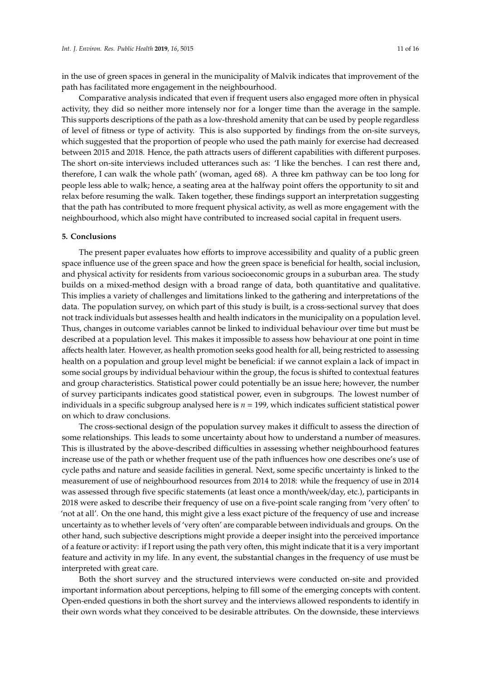in the use of green spaces in general in the municipality of Malvik indicates that improvement of the path has facilitated more engagement in the neighbourhood.

Comparative analysis indicated that even if frequent users also engaged more often in physical activity, they did so neither more intensely nor for a longer time than the average in the sample. This supports descriptions of the path as a low-threshold amenity that can be used by people regardless of level of fitness or type of activity. This is also supported by findings from the on-site surveys, which suggested that the proportion of people who used the path mainly for exercise had decreased between 2015 and 2018. Hence, the path attracts users of different capabilities with different purposes. The short on-site interviews included utterances such as: 'I like the benches. I can rest there and, therefore, I can walk the whole path' (woman, aged 68). A three km pathway can be too long for people less able to walk; hence, a seating area at the halfway point offers the opportunity to sit and relax before resuming the walk. Taken together, these findings support an interpretation suggesting that the path has contributed to more frequent physical activity, as well as more engagement with the neighbourhood, which also might have contributed to increased social capital in frequent users.

#### **5. Conclusions**

The present paper evaluates how efforts to improve accessibility and quality of a public green space influence use of the green space and how the green space is beneficial for health, social inclusion, and physical activity for residents from various socioeconomic groups in a suburban area. The study builds on a mixed-method design with a broad range of data, both quantitative and qualitative. This implies a variety of challenges and limitations linked to the gathering and interpretations of the data. The population survey, on which part of this study is built, is a cross-sectional survey that does not track individuals but assesses health and health indicators in the municipality on a population level. Thus, changes in outcome variables cannot be linked to individual behaviour over time but must be described at a population level. This makes it impossible to assess how behaviour at one point in time affects health later. However, as health promotion seeks good health for all, being restricted to assessing health on a population and group level might be beneficial: if we cannot explain a lack of impact in some social groups by individual behaviour within the group, the focus is shifted to contextual features and group characteristics. Statistical power could potentially be an issue here; however, the number of survey participants indicates good statistical power, even in subgroups. The lowest number of individuals in a specific subgroup analysed here is *n* = 199, which indicates sufficient statistical power on which to draw conclusions.

The cross-sectional design of the population survey makes it difficult to assess the direction of some relationships. This leads to some uncertainty about how to understand a number of measures. This is illustrated by the above-described difficulties in assessing whether neighbourhood features increase use of the path or whether frequent use of the path influences how one describes one's use of cycle paths and nature and seaside facilities in general. Next, some specific uncertainty is linked to the measurement of use of neighbourhood resources from 2014 to 2018: while the frequency of use in 2014 was assessed through five specific statements (at least once a month/week/day, etc.), participants in 2018 were asked to describe their frequency of use on a five-point scale ranging from 'very often' to 'not at all'. On the one hand, this might give a less exact picture of the frequency of use and increase uncertainty as to whether levels of 'very often' are comparable between individuals and groups. On the other hand, such subjective descriptions might provide a deeper insight into the perceived importance of a feature or activity: if I report using the path very often, this might indicate that it is a very important feature and activity in my life. In any event, the substantial changes in the frequency of use must be interpreted with great care.

Both the short survey and the structured interviews were conducted on-site and provided important information about perceptions, helping to fill some of the emerging concepts with content. Open-ended questions in both the short survey and the interviews allowed respondents to identify in their own words what they conceived to be desirable attributes. On the downside, these interviews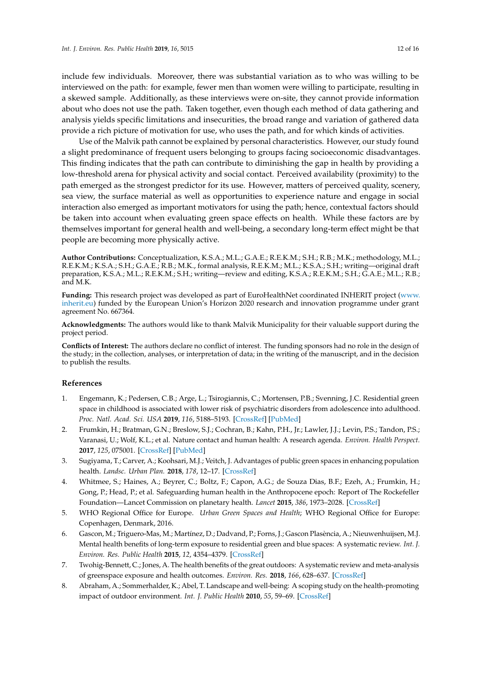include few individuals. Moreover, there was substantial variation as to who was willing to be interviewed on the path: for example, fewer men than women were willing to participate, resulting in a skewed sample. Additionally, as these interviews were on-site, they cannot provide information about who does not use the path. Taken together, even though each method of data gathering and analysis yields specific limitations and insecurities, the broad range and variation of gathered data provide a rich picture of motivation for use, who uses the path, and for which kinds of activities.

Use of the Malvik path cannot be explained by personal characteristics. However, our study found a slight predominance of frequent users belonging to groups facing socioeconomic disadvantages. This finding indicates that the path can contribute to diminishing the gap in health by providing a low-threshold arena for physical activity and social contact. Perceived availability (proximity) to the path emerged as the strongest predictor for its use. However, matters of perceived quality, scenery, sea view, the surface material as well as opportunities to experience nature and engage in social interaction also emerged as important motivators for using the path; hence, contextual factors should be taken into account when evaluating green space effects on health. While these factors are by themselves important for general health and well-being, a secondary long-term effect might be that people are becoming more physically active.

**Author Contributions:** Conceptualization, K.S.A.; M.L.; G.A.E.; R.E.K.M.; S.H.; R.B.; M.K.; methodology, M.L.; R.E.K.M.; K.S.A.; S.H.; G.A.E.; R.B.; M.K., formal analysis, R.E.K.M.; M.L.; K.S.A.; S.H.; writing—original draft preparation, K.S.A.; M.L.; R.E.K.M.; S.H.; writing—review and editing, K.S.A.; R.E.K.M.; S.H.; G.A.E.; M.L.; R.B.; and M.K.

Funding: This research project was developed as part of EuroHealthNet coordinated INHERIT project [\(www.](www.inherit.eu) [inherit.eu\)](www.inherit.eu) funded by the European Union's Horizon 2020 research and innovation programme under grant agreement No. 667364.

**Acknowledgments:** The authors would like to thank Malvik Municipality for their valuable support during the project period.

**Conflicts of Interest:** The authors declare no conflict of interest. The funding sponsors had no role in the design of the study; in the collection, analyses, or interpretation of data; in the writing of the manuscript, and in the decision to publish the results.

# **References**

- <span id="page-11-0"></span>1. Engemann, K.; Pedersen, C.B.; Arge, L.; Tsirogiannis, C.; Mortensen, P.B.; Svenning, J.C. Residential green space in childhood is associated with lower risk of psychiatric disorders from adolescence into adulthood. *Proc. Natl. Acad. Sci. USA* **2019**, *116*, 5188–5193. [\[CrossRef\]](http://dx.doi.org/10.1073/pnas.1807504116) [\[PubMed\]](http://www.ncbi.nlm.nih.gov/pubmed/30804178)
- 2. Frumkin, H.; Bratman, G.N.; Breslow, S.J.; Cochran, B.; Kahn, P.H., Jr.; Lawler, J.J.; Levin, P.S.; Tandon, P.S.; Varanasi, U.; Wolf, K.L.; et al. Nature contact and human health: A research agenda. *Environ. Health Perspect.* **2017**, *125*, 075001. [\[CrossRef\]](http://dx.doi.org/10.1289/EHP1663) [\[PubMed\]](http://www.ncbi.nlm.nih.gov/pubmed/28796634)
- <span id="page-11-2"></span>3. Sugiyama, T.; Carver, A.; Koohsari, M.J.; Veitch, J. Advantages of public green spaces in enhancing population health. *Landsc. Urban Plan.* **2018**, *178*, 12–17. [\[CrossRef\]](http://dx.doi.org/10.1016/j.landurbplan.2018.05.019)
- <span id="page-11-3"></span>4. Whitmee, S.; Haines, A.; Beyrer, C.; Boltz, F.; Capon, A.G.; de Souza Dias, B.F.; Ezeh, A.; Frumkin, H.; Gong, P.; Head, P.; et al. Safeguarding human health in the Anthropocene epoch: Report of The Rockefeller Foundation—Lancet Commission on planetary health. *Lancet* **2015**, *386*, 1973–2028. [\[CrossRef\]](http://dx.doi.org/10.1016/S0140-6736(15)60901-1)
- <span id="page-11-4"></span>5. WHO Regional Office for Europe. *Urban Green Spaces and Health*; WHO Regional Office for Europe: Copenhagen, Denmark, 2016.
- 6. Gascon, M.; Triguero-Mas, M.; Martínez, D.; Dadvand, P.; Forns, J.; Gascon Plasència, A.; Nieuwenhuijsen, M.J. Mental health benefits of long-term exposure to residential green and blue spaces: A systematic review. *Int. J. Environ. Res. Public Health* **2015**, *12*, 4354–4379. [\[CrossRef\]](http://dx.doi.org/10.3390/ijerph120404354)
- 7. Twohig-Bennett, C.; Jones, A. The health benefits of the great outdoors: A systematic review and meta-analysis of greenspace exposure and health outcomes. *Environ. Res.* **2018**, *166*, 628–637. [\[CrossRef\]](http://dx.doi.org/10.1016/j.envres.2018.06.030)
- <span id="page-11-1"></span>8. Abraham, A.; Sommerhalder, K.; Abel, T. Landscape and well-being: A scoping study on the health-promoting impact of outdoor environment. *Int. J. Public Health* **2010**, *55*, 59–69. [\[CrossRef\]](http://dx.doi.org/10.1007/s00038-009-0069-z)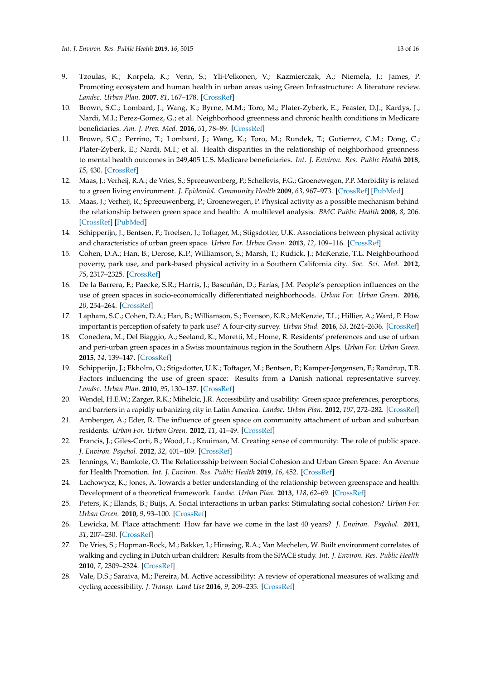- <span id="page-12-0"></span>9. Tzoulas, K.; Korpela, K.; Venn, S.; Yli-Pelkonen, V.; Kazmierczak, A.; Niemela, J.; James, P. Promoting ecosystem and human health in urban areas using Green Infrastructure: A literature review. *Landsc. Urban Plan.* **2007**, *81*, 167–178. [\[CrossRef\]](http://dx.doi.org/10.1016/j.landurbplan.2007.02.001)
- <span id="page-12-13"></span>10. Brown, S.C.; Lombard, J.; Wang, K.; Byrne, M.M.; Toro, M.; Plater-Zyberk, E.; Feaster, D.J.; Kardys, J.; Nardi, M.I.; Perez-Gomez, G.; et al. Neighborhood greenness and chronic health conditions in Medicare beneficiaries. *Am. J. Prev. Med.* **2016**, *51*, 78–89. [\[CrossRef\]](http://dx.doi.org/10.1016/j.amepre.2016.02.008)
- <span id="page-12-14"></span>11. Brown, S.C.; Perrino, T.; Lombard, J.; Wang, K.; Toro, M.; Rundek, T.; Gutierrez, C.M.; Dong, C.; Plater-Zyberk, E.; Nardi, M.I.; et al. Health disparities in the relationship of neighborhood greenness to mental health outcomes in 249,405 U.S. Medicare beneficiaries. *Int. J. Environ. Res. Public Health* **2018**, *15*, 430. [\[CrossRef\]](http://dx.doi.org/10.3390/ijerph15030430)
- <span id="page-12-1"></span>12. Maas, J.; Verheij, R.A.; de Vries, S.; Spreeuwenberg, P.; Schellevis, F.G.; Groenewegen, P.P. Morbidity is related to a green living environment. *J. Epidemiol. Community Health* **2009**, *63*, 967–973. [\[CrossRef\]](http://dx.doi.org/10.1136/jech.2008.079038) [\[PubMed\]](http://www.ncbi.nlm.nih.gov/pubmed/19833605)
- <span id="page-12-2"></span>13. Maas, J.; Verheij, R.; Spreeuwenberg, P.; Groenewegen, P. Physical activity as a possible mechanism behind the relationship between green space and health: A multilevel analysis. *BMC Public Health* **2008**, *8*, 206. [\[CrossRef\]](http://dx.doi.org/10.1186/1471-2458-8-206) [\[PubMed\]](http://www.ncbi.nlm.nih.gov/pubmed/18544169)
- <span id="page-12-3"></span>14. Schipperijn, J.; Bentsen, P.; Troelsen, J.; Toftager, M.; Stigsdotter, U.K. Associations between physical activity and characteristics of urban green space. *Urban For. Urban Green.* **2013**, *12*, 109–116. [\[CrossRef\]](http://dx.doi.org/10.1016/j.ufug.2012.12.002)
- <span id="page-12-4"></span>15. Cohen, D.A.; Han, B.; Derose, K.P.; Williamson, S.; Marsh, T.; Rudick, J.; McKenzie, T.L. Neighbourhood poverty, park use, and park-based physical activity in a Southern California city. *Soc. Sci. Med.* **2012**, *75*, 2317–2325. [\[CrossRef\]](http://dx.doi.org/10.1016/j.socscimed.2012.08.036)
- 16. De la Barrera, F.; Paecke, S.R.; Harris, J.; Bascuñán, D.; Farías, J.M. People's perception influences on the use of green spaces in socio-economically differentiated neighborhoods. *Urban For. Urban Green.* **2016**, *20*, 254–264. [\[CrossRef\]](http://dx.doi.org/10.1016/j.ufug.2016.09.007)
- <span id="page-12-5"></span>17. Lapham, S.C.; Cohen, D.A.; Han, B.; Williamson, S.; Evenson, K.R.; McKenzie, T.L.; Hillier, A.; Ward, P. How important is perception of safety to park use? A four-city survey. *Urban Stud.* **2016**, *53*, 2624–2636. [\[CrossRef\]](http://dx.doi.org/10.1177/0042098015592822)
- <span id="page-12-6"></span>18. Conedera, M.; Del Biaggio, A.; Seeland, K.; Moretti, M.; Home, R. Residents' preferences and use of urban and peri-urban green spaces in a Swiss mountainous region in the Southern Alps. *Urban For. Urban Green.* **2015**, *14*, 139–147. [\[CrossRef\]](http://dx.doi.org/10.1016/j.ufug.2015.01.003)
- <span id="page-12-7"></span>19. Schipperijn, J.; Ekholm, O.; Stigsdotter, U.K.; Toftager, M.; Bentsen, P.; Kamper-Jørgensen, F.; Randrup, T.B. Factors influencing the use of green space: Results from a Danish national representative survey. *Landsc. Urban Plan.* **2010**, *95*, 130–137. [\[CrossRef\]](http://dx.doi.org/10.1016/j.landurbplan.2009.12.010)
- <span id="page-12-8"></span>20. Wendel, H.E.W.; Zarger, R.K.; Mihelcic, J.R. Accessibility and usability: Green space preferences, perceptions, and barriers in a rapidly urbanizing city in Latin America. *Landsc. Urban Plan.* **2012**, *107*, 272–282. [\[CrossRef\]](http://dx.doi.org/10.1016/j.landurbplan.2012.06.003)
- <span id="page-12-9"></span>21. Arnberger, A.; Eder, R. The influence of green space on community attachment of urban and suburban residents. *Urban For. Urban Green.* **2012**, *11*, 41–49. [\[CrossRef\]](http://dx.doi.org/10.1016/j.ufug.2011.11.003)
- 22. Francis, J.; Giles-Corti, B.; Wood, L.; Knuiman, M. Creating sense of community: The role of public space. *J. Environ. Psychol.* **2012**, *32*, 401–409. [\[CrossRef\]](http://dx.doi.org/10.1016/j.jenvp.2012.07.002)
- <span id="page-12-15"></span>23. Jennings, V.; Bamkole, O. The Relationsship between Social Cohesion and Urban Green Space: An Avenue for Health Promotion. *Int. J. Environ. Res. Public Health* **2019**, *16*, 452. [\[CrossRef\]](http://dx.doi.org/10.3390/ijerph16030452)
- <span id="page-12-16"></span>24. Lachowycz, K.; Jones, A. Towards a better understanding of the relationship between greenspace and health: Development of a theoretical framework. *Landsc. Urban Plan.* **2013**, *118*, 62–69. [\[CrossRef\]](http://dx.doi.org/10.1016/j.landurbplan.2012.10.012)
- <span id="page-12-10"></span>25. Peters, K.; Elands, B.; Buijs, A. Social interactions in urban parks: Stimulating social cohesion? *Urban For. Urban Green.* **2010**, *9*, 93–100. [\[CrossRef\]](http://dx.doi.org/10.1016/j.ufug.2009.11.003)
- <span id="page-12-11"></span>26. Lewicka, M. Place attachment: How far have we come in the last 40 years? *J. Environ. Psychol.* **2011**, *31*, 207–230. [\[CrossRef\]](http://dx.doi.org/10.1016/j.jenvp.2010.10.001)
- <span id="page-12-12"></span>27. De Vries, S.; Hopman-Rock, M.; Bakker, I.; Hirasing, R.A.; Van Mechelen, W. Built environment correlates of walking and cycling in Dutch urban children: Results from the SPACE study. *Int. J. Environ. Res. Public Health* **2010**, *7*, 2309–2324. [\[CrossRef\]](http://dx.doi.org/10.3390/ijerph7052309)
- 28. Vale, D.S.; Saraiva, M.; Pereira, M. Active accessibility: A review of operational measures of walking and cycling accessibility. *J. Transp. Land Use* **2016**, *9*, 209–235. [\[CrossRef\]](http://dx.doi.org/10.5198/jtlu.2015.593)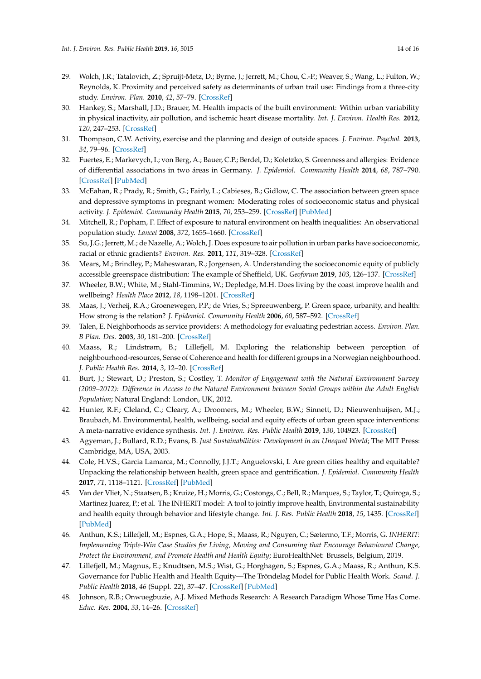- <span id="page-13-0"></span>29. Wolch, J.R.; Tatalovich, Z.; Spruijt-Metz, D.; Byrne, J.; Jerrett, M.; Chou, C.-P.; Weaver, S.; Wang, L.; Fulton, W.; Reynolds, K. Proximity and perceived safety as determinants of urban trail use: Findings from a three-city study. *Environ. Plan.* **2010**, *42*, 57–79. [\[CrossRef\]](http://dx.doi.org/10.1068/a41302)
- <span id="page-13-1"></span>30. Hankey, S.; Marshall, J.D.; Brauer, M. Health impacts of the built environment: Within urban variability in physical inactivity, air pollution, and ischemic heart disease mortality. *Int. J. Environ. Health Res.* **2012**, *120*, 247–253. [\[CrossRef\]](http://dx.doi.org/10.1289/ehp.1103806)
- <span id="page-13-2"></span>31. Thompson, C.W. Activity, exercise and the planning and design of outside spaces. *J. Environ. Psychol.* **2013**, *34*, 79–96. [\[CrossRef\]](http://dx.doi.org/10.1016/j.jenvp.2013.01.003)
- <span id="page-13-3"></span>32. Fuertes, E.; Markevych, I.; von Berg, A.; Bauer, C.P.; Berdel, D.; Koletzko, S. Greenness and allergies: Evidence of differential associations in two áreas in Germany. *J. Epidemiol. Community Health* **2014**, *68*, 787–790. [\[CrossRef\]](http://dx.doi.org/10.1136/jech-2014-203903) [\[PubMed\]](http://www.ncbi.nlm.nih.gov/pubmed/24862831)
- <span id="page-13-4"></span>33. McEahan, R.; Prady, R.; Smith, G.; Fairly, L.; Cabieses, B.; Gidlow, C. The association between green space and depressive symptoms in pregnant women: Moderating roles of socioeconomic status and physical activity. *J. Epidemiol. Community Health* **2015**, *70*, 253–259. [\[CrossRef\]](http://dx.doi.org/10.1136/jech-2015-205954) [\[PubMed\]](http://www.ncbi.nlm.nih.gov/pubmed/26560759)
- <span id="page-13-5"></span>34. Mitchell, R.; Popham, F. Effect of exposure to natural environment on health inequalities: An observational population study. *Lancet* **2008**, *372*, 1655–1660. [\[CrossRef\]](http://dx.doi.org/10.1016/S0140-6736(08)61689-X)
- <span id="page-13-6"></span>35. Su, J.G.; Jerrett, M.; de Nazelle, A.; Wolch, J. Does exposure to air pollution in urban parks have socioeconomic, racial or ethnic gradients? *Environ. Res.* **2011**, *111*, 319–328. [\[CrossRef\]](http://dx.doi.org/10.1016/j.envres.2011.01.002)
- <span id="page-13-9"></span>36. Mears, M.; Brindley, P.; Maheswaran, R.; Jorgensen, A. Understanding the socioeconomic equity of publicly accessible greenspace distribution: The example of Sheffield, UK. *Geoforum* **2019**, *103*, 126–137. [\[CrossRef\]](http://dx.doi.org/10.1016/j.geoforum.2019.04.016)
- 37. Wheeler, B.W.; White, M.; Stahl-Timmins, W.; Depledge, M.H. Does living by the coast improve health and wellbeing? *Health Place* **2012**, *18*, 1198–1201. [\[CrossRef\]](http://dx.doi.org/10.1016/j.healthplace.2012.06.015)
- <span id="page-13-7"></span>38. Maas, J.; Verheij, R.A.; Groenewegen, P.P.; de Vries, S.; Spreeuwenberg, P. Green space, urbanity, and health: How strong is the relation? *J. Epidemiol. Community Health* **2006**, *60*, 587–592. [\[CrossRef\]](http://dx.doi.org/10.1136/jech.2005.043125)
- <span id="page-13-8"></span>39. Talen, E. Neighborhoods as service providers: A methodology for evaluating pedestrian access. *Environ. Plan. B Plan. Des.* **2003**, *30*, 181–200. [\[CrossRef\]](http://dx.doi.org/10.1068/b12977)
- <span id="page-13-10"></span>40. Maass, R.; Lindstrøm, B.; Lillefjell, M. Exploring the relationship between perception of neighbourhood-resources, Sense of Coherence and health for different groups in a Norwegian neighbourhood. *J. Public Health Res.* **2014**, *3*, 12–20. [\[CrossRef\]](http://dx.doi.org/10.4081/jphr.2014.208)
- <span id="page-13-12"></span>41. Burt, J.; Stewart, D.; Preston, S.; Costley, T. *Monitor of Engagement with the Natural Environment Survey (2009–2012): Di*ff*erence in Access to the Natural Environment between Social Groups within the Adult English Population*; Natural England: London, UK, 2012.
- <span id="page-13-11"></span>42. Hunter, R.F.; Cleland, C.; Cleary, A.; Droomers, M.; Wheeler, B.W.; Sinnett, D.; Nieuwenhuijsen, M.J.; Braubach, M. Environmental, health, wellbeing, social and equity effects of urban green space interventions: A meta-narrative evidence synthesis. *Int. J. Environ. Res. Public Health* **2019**, *130*, 104923. [\[CrossRef\]](http://dx.doi.org/10.1016/j.envint.2019.104923)
- <span id="page-13-13"></span>43. Agyeman, J.; Bullard, R.D.; Evans, B. *Just Sustainabilities: Development in an Unequal World*; The MIT Press: Cambridge, MA, USA, 2003.
- <span id="page-13-14"></span>44. Cole, H.V.S.; Garcia Lamarca, M.; Connolly, J.J.T.; Anguelovski, I. Are green cities healthy and equitable? Unpacking the relationship between health, green space and gentrification. *J. Epidemiol. Community Health* **2017**, *71*, 1118–1121. [\[CrossRef\]](http://dx.doi.org/10.1136/jech-2017-209201) [\[PubMed\]](http://www.ncbi.nlm.nih.gov/pubmed/28822977)
- <span id="page-13-15"></span>45. Van der Vliet, N.; Staatsen, B.; Kruize, H.; Morris, G.; Costongs, C.; Bell, R.; Marques, S.; Taylor, T.; Quiroga, S.; Martinez Juarez, P.; et al. The INHERIT model: A tool to jointly improve health, Environmental sustainability and health equity through behavior and lifestyle change. *Int. J. Res. Public Health* **2018**, *15*, 1435. [\[CrossRef\]](http://dx.doi.org/10.3390/ijerph15071435) [\[PubMed\]](http://www.ncbi.nlm.nih.gov/pubmed/29986493)
- <span id="page-13-16"></span>46. Anthun, K.S.; Lillefjell, M.; Espnes, G.A.; Hope, S.; Maass, R.; Nguyen, C.; Sætermo, T.F.; Morris, G. *INHERIT: Implementing Triple-Win Case Studies for Living, Moving and Consuming that Encourage Behavioural Change, Protect the Environment, and Promote Health and Health Equity*; EuroHealthNet: Brussels, Belgium, 2019.
- <span id="page-13-17"></span>47. Lillefjell, M.; Magnus, E.; Knudtsen, M.S.; Wist, G.; Horghagen, S.; Espnes, G.A.; Maass, R.; Anthun, K.S. Governance for Public Health and Health Equity—The Tröndelag Model for Public Health Work. *Scand. J. Public Health* **2018**, *46* (Suppl. 22), 37–47. [\[CrossRef\]](http://dx.doi.org/10.1177/1403494818765704) [\[PubMed\]](http://www.ncbi.nlm.nih.gov/pubmed/29862906)
- <span id="page-13-18"></span>48. Johnson, R.B.; Onwuegbuzie, A.J. Mixed Methods Research: A Research Paradigm Whose Time Has Come. *Educ. Res.* **2004**, *33*, 14–26. [\[CrossRef\]](http://dx.doi.org/10.3102/0013189X033007014)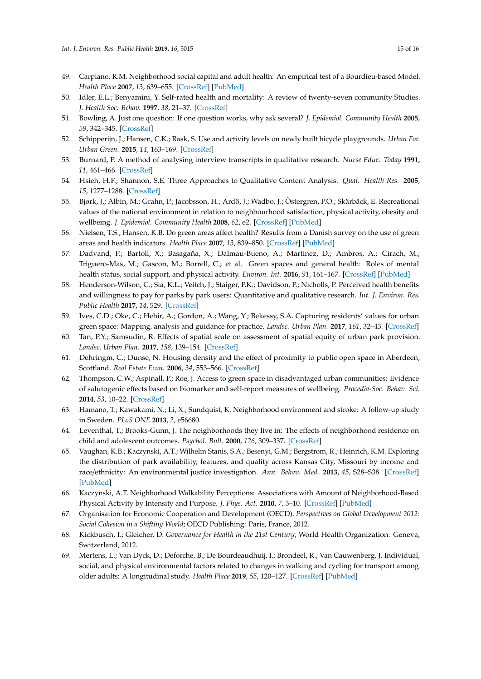- <span id="page-14-0"></span>49. Carpiano, R.M. Neighborhood social capital and adult health: An empirical test of a Bourdieu-based Model. *Health Place* **2007**, *13*, 639–655. [\[CrossRef\]](http://dx.doi.org/10.1016/j.healthplace.2006.09.001) [\[PubMed\]](http://www.ncbi.nlm.nih.gov/pubmed/17084655)
- <span id="page-14-1"></span>50. Idler, E.L.; Benyamini, Y. Self-rated health and mortality: A review of twenty-seven community Studies. *J. Health Soc. Behav.* **1997**, *38*, 21–37. [\[CrossRef\]](http://dx.doi.org/10.2307/2955359)
- <span id="page-14-2"></span>51. Bowling, A. Just one question: If one question works, why ask several? *J. Epidemiol. Community Health* **2005**, *59*, 342–345. [\[CrossRef\]](http://dx.doi.org/10.1136/jech.2004.021204)
- <span id="page-14-3"></span>52. Schipperijn, J.; Hansen, C.K.; Rask, S. Use and activity levels on newly built bicycle playgrounds. *Urban For. Urban Green.* **2015**, *14*, 163–169. [\[CrossRef\]](http://dx.doi.org/10.1016/j.ufug.2014.09.003)
- <span id="page-14-4"></span>53. Burnard, P. A method of analysing interview transcripts in qualitative research. *Nurse Educ. Today* **1991**, *11*, 461–466. [\[CrossRef\]](http://dx.doi.org/10.1016/0260-6917(91)90009-Y)
- <span id="page-14-5"></span>54. Hsieh, H.F.; Shannon, S.E. Three Approaches to Qualitative Content Analysis. *Qual. Health Res.* **2005**, *15*, 1277–1288. [\[CrossRef\]](http://dx.doi.org/10.1177/1049732305276687)
- <span id="page-14-6"></span>55. Bjørk, J.; Albin, M.; Grahn, P.; Jacobsson, H.; Ardö, J.; Wadbo, J.; Östergren, P.O.; Skärbäck, E. Recreational values of the national environment in relation to neighbourhood satisfaction, physical activity, obesity and wellbeing. *J. Epidemiol. Community Health* **2008**, *62*, e2. [\[CrossRef\]](http://dx.doi.org/10.1136/jech.2007.062414) [\[PubMed\]](http://www.ncbi.nlm.nih.gov/pubmed/18365329)
- <span id="page-14-8"></span>56. Nielsen, T.S.; Hansen, K.B. Do green areas affect health? Results from a Danish survey on the use of green areas and health indicators. *Health Place* **2007**, *13*, 839–850. [\[CrossRef\]](http://dx.doi.org/10.1016/j.healthplace.2007.02.001) [\[PubMed\]](http://www.ncbi.nlm.nih.gov/pubmed/17392016)
- <span id="page-14-7"></span>57. Dadvand, P.; Bartoll, X.; Basagaña, X.; Dalmau-Bueno, A.; Martinez, D.; Ambros, A.; Cirach, M.; Triguero-Mas, M.; Gascon, M.; Borrell, C.; et al. Green spaces and general health: Roles of mental health status, social support, and physical activity. *Environ. Int.* **2016**, *91*, 161–167. [\[CrossRef\]](http://dx.doi.org/10.1016/j.envint.2016.02.029) [\[PubMed\]](http://www.ncbi.nlm.nih.gov/pubmed/26949869)
- <span id="page-14-9"></span>58. Henderson-Wilson, C.; Sia, K.L.; Veitch, J.; Staiger, P.K.; Davidson, P.; Nicholls, P. Perceived health benefits and willingness to pay for parks by park users: Quantitative and qualitative research. *Int. J. Environ. Res. Public Health* **2017**, *14*, 529. [\[CrossRef\]](http://dx.doi.org/10.3390/ijerph14050529)
- 59. Ives, C.D.; Oke, C.; Hehir, A.; Gordon, A.; Wang, Y.; Bekessy, S.A. Capturing residents' values for urban green space: Mapping, analysis and guidance for practice. *Landsc. Urban Plan.* **2017**, *161*, 32–43. [\[CrossRef\]](http://dx.doi.org/10.1016/j.landurbplan.2016.12.010)
- <span id="page-14-10"></span>60. Tan, P.Y.; Samsudin, R. Effects of spatial scale on assessment of spatial equity of urban park provision. *Landsc. Urban Plan.* **2017**, *158*, 139–154. [\[CrossRef\]](http://dx.doi.org/10.1016/j.landurbplan.2016.11.001)
- <span id="page-14-11"></span>61. Dehringm, C.; Dunse, N. Housing density and the effect of proximity to public open space in Aberdeen, Scottland. *Real Estate Econ.* **2006**, *34*, 553–566. [\[CrossRef\]](http://dx.doi.org/10.1111/j.1540-6229.2006.00178.x)
- <span id="page-14-12"></span>62. Thompson, C.W.; Aspinall, P.; Roe, J. Access to green space in disadvantaged urban communities: Evidence of salutogenic effects based on biomarker and self-report measures of wellbeing. *Procedia-Soc. Behav. Sci.* **2014**, *53*, 10–22. [\[CrossRef\]](http://dx.doi.org/10.1016/j.sbspro.2014.10.036)
- 63. Hamano, T.; Kawakami, N.; Li, X.; Sundquist, K. Neighborhood environment and stroke: A follow-up study in Sweden. *PLoS ONE* **2013**, *2*, e56680.
- <span id="page-14-13"></span>64. Leventhal, T.; Brooks-Gunn, J. The neighborhoods they live in: The effects of neighborhood residence on child and adolescent outcomes. *Psychol. Bull.* **2000**, *126*, 309–337. [\[CrossRef\]](http://dx.doi.org/10.1037/0033-2909.126.2.309)
- <span id="page-14-14"></span>65. Vaughan, K.B.; Kaczynski, A.T.; Wilhelm Stanis, S.A.; Besenyi, G.M.; Bergstrom, R.; Heinrich, K.M. Exploring the distribution of park availability, features, and quality across Kansas City, Missouri by income and race/ethnicity: An environmental justice investigation. *Ann. Behav. Med.* **2013**, *45*, S28–S38. [\[CrossRef\]](http://dx.doi.org/10.1007/s12160-012-9425-y) [\[PubMed\]](http://www.ncbi.nlm.nih.gov/pubmed/23334757)
- <span id="page-14-15"></span>66. Kaczynski, A.T. Neighborhood Walkability Perceptions: Associations with Amount of Neighborhood-Based Physical Activity by Intensity and Purpose. *J. Phys. Act.* **2010**, *7*, 3–10. [\[CrossRef\]](http://dx.doi.org/10.1123/jpah.7.1.3) [\[PubMed\]](http://www.ncbi.nlm.nih.gov/pubmed/20231749)
- <span id="page-14-16"></span>67. Organisation for Economic Cooperation and Development (OECD). *Perspectives on Global Development 2012: Social Cohesion in a Shifting World*; OECD Publishing: Paris, France, 2012.
- <span id="page-14-17"></span>68. Kickbusch, I.; Gleicher, D. *Governance for Health in the 21st Century*; World Health Organization: Geneva, Switzerland, 2012.
- <span id="page-14-18"></span>69. Mertens, L.; Van Dyck, D.; Deforche, B.; De Bourdeaudhuij, I.; Brondeel, R.; Van Cauwenberg, J. Individual, social, and physical environmental factors related to changes in walking and cycling for transport among older adults: A longitudinal study. *Health Place* **2019**, *55*, 120–127. [\[CrossRef\]](http://dx.doi.org/10.1016/j.healthplace.2018.12.001) [\[PubMed\]](http://www.ncbi.nlm.nih.gov/pubmed/30551993)